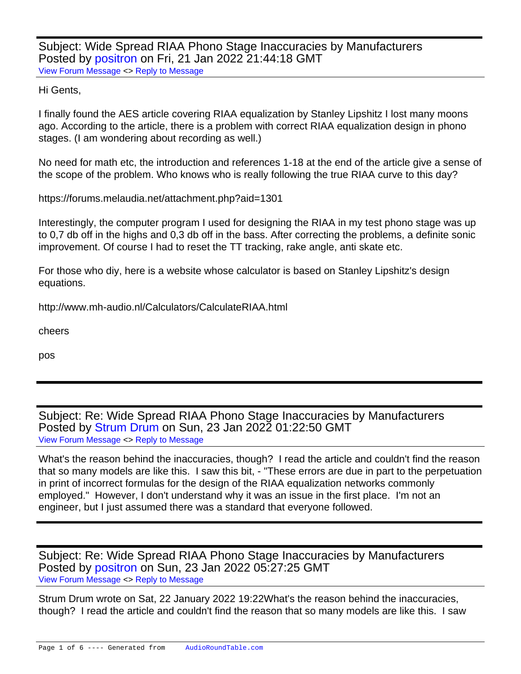Subject: Wide Spread RIAA Phono Stage Inaccuracies by Manufacturers Posted by [positron](https://audioroundtable.com/forum/index.php?t=usrinfo&id=8732) on Fri, 21 Jan 2022 21:44:18 GMT [View Forum Message](https://audioroundtable.com/forum/index.php?t=rview&th=23356&goto=95102#msg_95102) <> [Reply to Message](https://audioroundtable.com/forum/index.php?t=post&reply_to=95102)

Hi Gents,

I finally found the AES article covering RIAA equalization by Stanley Lipshitz I lost many moons ago. According to the article, there is a problem with correct RIAA equalization design in phono stages. (I am wondering about recording as well.)

No need for math etc, the introduction and references 1-18 at the end of the article give a sense of the scope of the problem. Who knows who is really following the true RIAA curve to this day?

https://forums.melaudia.net/attachment.php?aid=1301

Interestingly, the computer program I used for designing the RIAA in my test phono stage was up to 0,7 db off in the highs and 0,3 db off in the bass. After correcting the problems, a definite sonic improvement. Of course I had to reset the TT tracking, rake angle, anti skate etc.

For those who diy, here is a website whose calculator is based on Stanley Lipshitz's design equations.

http://www.mh-audio.nl/Calculators/CalculateRIAA.html

cheers

pos

Subject: Re: Wide Spread RIAA Phono Stage Inaccuracies by Manufacturers Posted by [Strum Drum](https://audioroundtable.com/forum/index.php?t=usrinfo&id=8116) on Sun, 23 Jan 2022 01:22:50 GMT [View Forum Message](https://audioroundtable.com/forum/index.php?t=rview&th=23356&goto=95105#msg_95105) <> [Reply to Message](https://audioroundtable.com/forum/index.php?t=post&reply_to=95105)

What's the reason behind the inaccuracies, though? I read the article and couldn't find the reason that so many models are like this. I saw this bit, - "These errors are due in part to the perpetuation in print of incorrect formulas for the design of the RIAA equalization networks commonly employed." However, I don't understand why it was an issue in the first place. I'm not an engineer, but I just assumed there was a standard that everyone followed.

Subject: Re: Wide Spread RIAA Phono Stage Inaccuracies by Manufacturers Posted by [positron](https://audioroundtable.com/forum/index.php?t=usrinfo&id=8732) on Sun, 23 Jan 2022 05:27:25 GMT [View Forum Message](https://audioroundtable.com/forum/index.php?t=rview&th=23356&goto=95107#msg_95107) <> [Reply to Message](https://audioroundtable.com/forum/index.php?t=post&reply_to=95107)

Strum Drum wrote on Sat, 22 January 2022 19:22What's the reason behind the inaccuracies, though? I read the article and couldn't find the reason that so many models are like this. I saw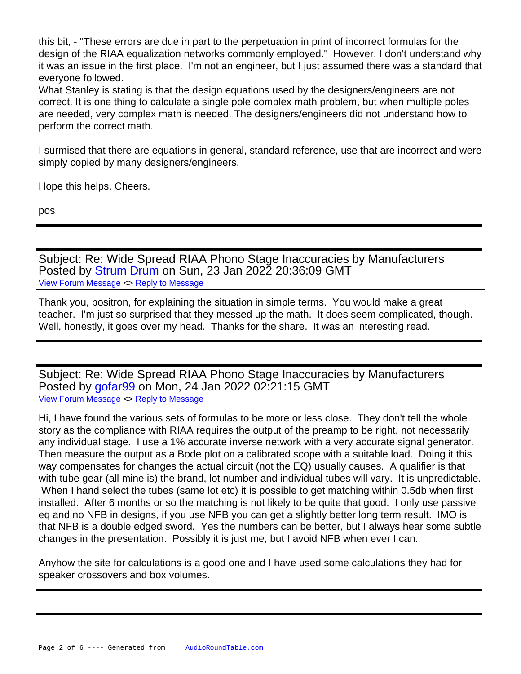this bit, - "These errors are due in part to the perpetuation in print of incorrect formulas for the design of the RIAA equalization networks commonly employed." However, I don't understand why it was an issue in the first place. I'm not an engineer, but I just assumed there was a standard that everyone followed.

What Stanley is stating is that the design equations used by the designers/engineers are not correct. It is one thing to calculate a single pole complex math problem, but when multiple poles are needed, very complex math is needed. The designers/engineers did not understand how to perform the correct math.

I surmised that there are equations in general, standard reference, use that are incorrect and were simply copied by many designers/engineers.

Hope this helps. Cheers.

pos

Subject: Re: Wide Spread RIAA Phono Stage Inaccuracies by Manufacturers Posted by [Strum Drum](https://audioroundtable.com/forum/index.php?t=usrinfo&id=8116) on Sun, 23 Jan 2022 20:36:09 GMT [View Forum Message](https://audioroundtable.com/forum/index.php?t=rview&th=23356&goto=95113#msg_95113) <> [Reply to Message](https://audioroundtable.com/forum/index.php?t=post&reply_to=95113)

Thank you, positron, for explaining the situation in simple terms. You would make a great teacher. I'm just so surprised that they messed up the math. It does seem complicated, though. Well, honestly, it goes over my head. Thanks for the share. It was an interesting read.

Subject: Re: Wide Spread RIAA Phono Stage Inaccuracies by Manufacturers Posted by [gofar99](https://audioroundtable.com/forum/index.php?t=usrinfo&id=3806) on Mon, 24 Jan 2022 02:21:15 GMT [View Forum Message](https://audioroundtable.com/forum/index.php?t=rview&th=23356&goto=95115#msg_95115) <> [Reply to Message](https://audioroundtable.com/forum/index.php?t=post&reply_to=95115)

Hi, I have found the various sets of formulas to be more or less close. They don't tell the whole story as the compliance with RIAA requires the output of the preamp to be right, not necessarily any individual stage. I use a 1% accurate inverse network with a very accurate signal generator. Then measure the output as a Bode plot on a calibrated scope with a suitable load. Doing it this way compensates for changes the actual circuit (not the EQ) usually causes. A qualifier is that with tube gear (all mine is) the brand, lot number and individual tubes will vary. It is unpredictable. When I hand select the tubes (same lot etc) it is possible to get matching within 0.5db when first installed. After 6 months or so the matching is not likely to be quite that good. I only use passive eq and no NFB in designs, if you use NFB you can get a slightly better long term result. IMO is that NFB is a double edged sword. Yes the numbers can be better, but I always hear some subtle changes in the presentation. Possibly it is just me, but I avoid NFB when ever I can.

Anyhow the site for calculations is a good one and I have used some calculations they had for speaker crossovers and box volumes.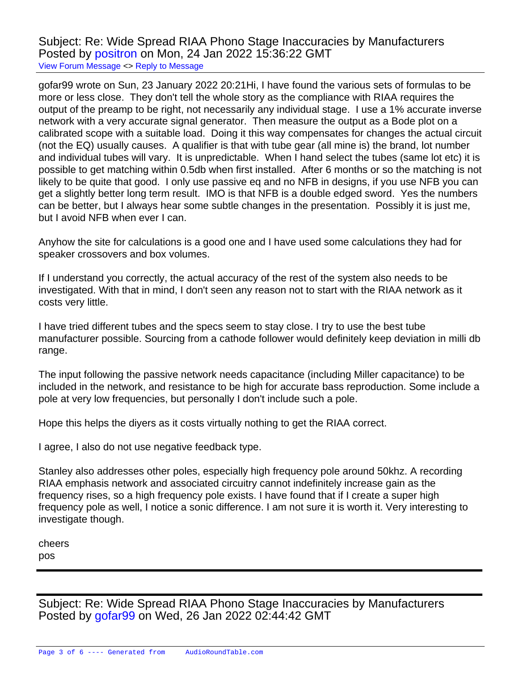Subject: Re: Wide Spread RIAA Phono Stage Inaccuracies by Manufacturers Posted by [positron](https://audioroundtable.com/forum/index.php?t=usrinfo&id=8732) on Mon, 24 Jan 2022 15:36:22 GMT [View Forum Message](https://audioroundtable.com/forum/index.php?t=rview&th=23356&goto=95117#msg_95117) <> [Reply to Message](https://audioroundtable.com/forum/index.php?t=post&reply_to=95117)

gofar99 wrote on Sun, 23 January 2022 20:21Hi, I have found the various sets of formulas to be more or less close. They don't tell the whole story as the compliance with RIAA requires the output of the preamp to be right, not necessarily any individual stage. I use a 1% accurate inverse network with a very accurate signal generator. Then measure the output as a Bode plot on a calibrated scope with a suitable load. Doing it this way compensates for changes the actual circuit (not the EQ) usually causes. A qualifier is that with tube gear (all mine is) the brand, lot number and individual tubes will vary. It is unpredictable. When I hand select the tubes (same lot etc) it is possible to get matching within 0.5db when first installed. After 6 months or so the matching is not likely to be quite that good. I only use passive eq and no NFB in designs, if you use NFB you can get a slightly better long term result. IMO is that NFB is a double edged sword. Yes the numbers can be better, but I always hear some subtle changes in the presentation. Possibly it is just me, but I avoid NFB when ever I can.

Anyhow the site for calculations is a good one and I have used some calculations they had for speaker crossovers and box volumes.

If I understand you correctly, the actual accuracy of the rest of the system also needs to be investigated. With that in mind, I don't seen any reason not to start with the RIAA network as it costs very little.

I have tried different tubes and the specs seem to stay close. I try to use the best tube manufacturer possible. Sourcing from a cathode follower would definitely keep deviation in milli db range.

The input following the passive network needs capacitance (including Miller capacitance) to be included in the network, and resistance to be high for accurate bass reproduction. Some include a pole at very low frequencies, but personally I don't include such a pole.

Hope this helps the diyers as it costs virtually nothing to get the RIAA correct.

I agree, I also do not use negative feedback type.

Stanley also addresses other poles, especially high frequency pole around 50khz. A recording RIAA emphasis network and associated circuitry cannot indefinitely increase gain as the frequency rises, so a high frequency pole exists. I have found that if I create a super high frequency pole as well, I notice a sonic difference. I am not sure it is worth it. Very interesting to investigate though.

cheers pos

Subject: Re: Wide Spread RIAA Phono Stage Inaccuracies by Manufacturers Posted by [gofar99](https://audioroundtable.com/forum/index.php?t=usrinfo&id=3806) on Wed, 26 Jan 2022 02:44:42 GMT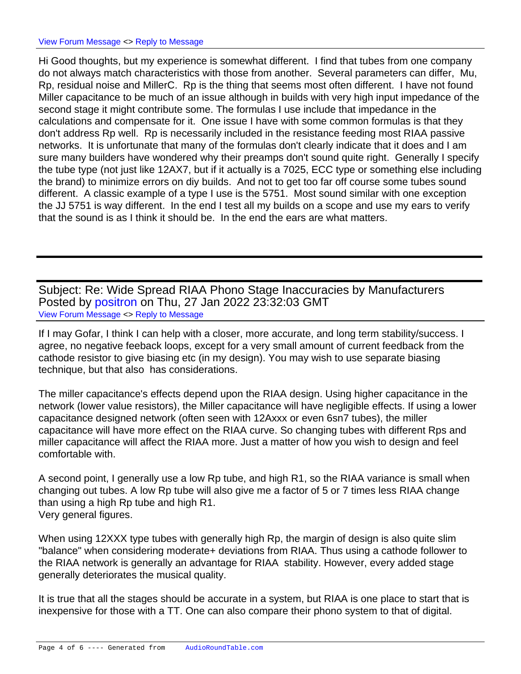Hi Good thoughts, but my experience is somewhat different. I find that tubes from one company do not always match characteristics with those from another. Several parameters can differ, Mu, Rp, residual noise and MillerC. Rp is the thing that seems most often different. I have not found Miller capacitance to be much of an issue although in builds with very high input impedance of the second stage it might contribute some. The formulas I use include that impedance in the calculations and compensate for it. One issue I have with some common formulas is that they don't address Rp well. Rp is necessarily included in the resistance feeding most RIAA passive networks. It is unfortunate that many of the formulas don't clearly indicate that it does and I am sure many builders have wondered why their preamps don't sound quite right. Generally I specify the tube type (not just like 12AX7, but if it actually is a 7025, ECC type or something else including the brand) to minimize errors on diy builds. And not to get too far off course some tubes sound different. A classic example of a type I use is the 5751. Most sound similar with one exception the JJ 5751 is way different. In the end I test all my builds on a scope and use my ears to verify that the sound is as I think it should be. In the end the ears are what matters.

Subject: Re: Wide Spread RIAA Phono Stage Inaccuracies by Manufacturers Posted by [positron](https://audioroundtable.com/forum/index.php?t=usrinfo&id=8732) on Thu, 27 Jan 2022 23:32:03 GMT [View Forum Message](https://audioroundtable.com/forum/index.php?t=rview&th=23356&goto=95139#msg_95139) <> [Reply to Message](https://audioroundtable.com/forum/index.php?t=post&reply_to=95139)

If I may Gofar, I think I can help with a closer, more accurate, and long term stability/success. I agree, no negative feeback loops, except for a very small amount of current feedback from the cathode resistor to give biasing etc (in my design). You may wish to use separate biasing technique, but that also has considerations.

The miller capacitance's effects depend upon the RIAA design. Using higher capacitance in the network (lower value resistors), the Miller capacitance will have negligible effects. If using a lower capacitance designed network (often seen with 12Axxx or even 6sn7 tubes), the miller capacitance will have more effect on the RIAA curve. So changing tubes with different Rps and miller capacitance will affect the RIAA more. Just a matter of how you wish to design and feel comfortable with.

A second point, I generally use a low Rp tube, and high R1, so the RIAA variance is small when changing out tubes. A low Rp tube will also give me a factor of 5 or 7 times less RIAA change than using a high Rp tube and high R1. Very general figures.

When using 12XXX type tubes with generally high Rp, the margin of design is also quite slim "balance" when considering moderate+ deviations from RIAA. Thus using a cathode follower to the RIAA network is generally an advantage for RIAA stability. However, every added stage generally deteriorates the musical quality.

It is true that all the stages should be accurate in a system, but RIAA is one place to start that is inexpensive for those with a TT. One can also compare their phono system to that of digital.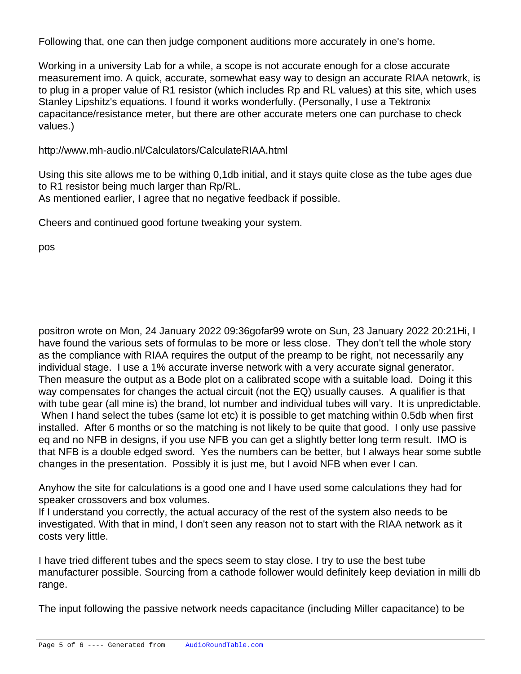Following that, one can then judge component auditions more accurately in one's home.

Working in a university Lab for a while, a scope is not accurate enough for a close accurate measurement imo. A quick, accurate, somewhat easy way to design an accurate RIAA netowrk, is to plug in a proper value of R1 resistor (which includes Rp and RL values) at this site, which uses Stanley Lipshitz's equations. I found it works wonderfully. (Personally, I use a Tektronix capacitance/resistance meter, but there are other accurate meters one can purchase to check values.)

http://www.mh-audio.nl/Calculators/CalculateRIAA.html

Using this site allows me to be withing 0,1db initial, and it stays quite close as the tube ages due to R1 resistor being much larger than Rp/RL. As mentioned earlier, I agree that no negative feedback if possible.

Cheers and continued good fortune tweaking your system.

pos

positron wrote on Mon, 24 January 2022 09:36gofar99 wrote on Sun, 23 January 2022 20:21Hi, I have found the various sets of formulas to be more or less close. They don't tell the whole story as the compliance with RIAA requires the output of the preamp to be right, not necessarily any individual stage. I use a 1% accurate inverse network with a very accurate signal generator. Then measure the output as a Bode plot on a calibrated scope with a suitable load. Doing it this way compensates for changes the actual circuit (not the EQ) usually causes. A qualifier is that with tube gear (all mine is) the brand, lot number and individual tubes will vary. It is unpredictable. When I hand select the tubes (same lot etc) it is possible to get matching within 0.5db when first installed. After 6 months or so the matching is not likely to be quite that good. I only use passive eq and no NFB in designs, if you use NFB you can get a slightly better long term result. IMO is that NFB is a double edged sword. Yes the numbers can be better, but I always hear some subtle changes in the presentation. Possibly it is just me, but I avoid NFB when ever I can.

Anyhow the site for calculations is a good one and I have used some calculations they had for speaker crossovers and box volumes.

If I understand you correctly, the actual accuracy of the rest of the system also needs to be investigated. With that in mind, I don't seen any reason not to start with the RIAA network as it costs very little.

I have tried different tubes and the specs seem to stay close. I try to use the best tube manufacturer possible. Sourcing from a cathode follower would definitely keep deviation in milli db range.

The input following the passive network needs capacitance (including Miller capacitance) to be